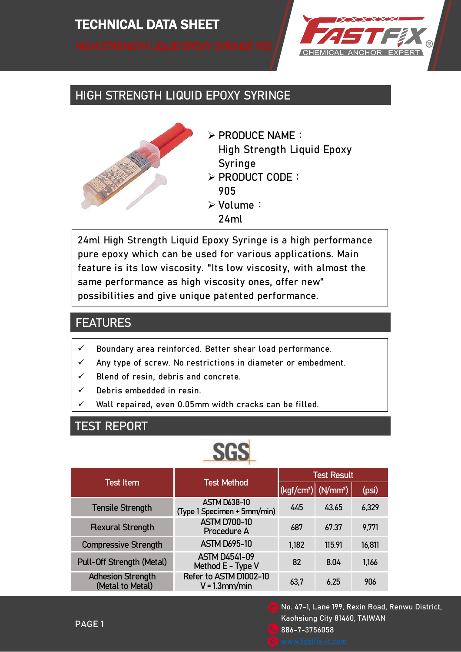

# HIGH STRENGTH LIQUID EPOXY SYRINGE



 $\triangleright$  PRODUCE NAME: High Strength Liquid Epoxy Syringe > PRODUCT CODE:

905

- Volume:
	- 24ml

24ml High Strength Liquid Epoxy Syringe is a high performance pure epoxy which can be used for various applications. Main feature is its low viscosity. "Its low viscosity, with almost the same performance as high viscosity ones, offer new" possibilities and give unique patented performance.

# **FEATURES**

- $\checkmark$  Boundary area reinforced. Better shear load performance.
- $\checkmark$  Any type of screw. No restrictions in diameter or embedment.
- $\checkmark$  Blend of resin, debris and concrete.
- $\checkmark$  Debris embedded in resin.
- $\checkmark$  Wall repaired, even 0.05mm width cracks can be filled.

# TEST REPORT

| <b>Test Item</b>                             | <b>Test Method</b>                                 | <b>Test Result</b>                                              |        |        |
|----------------------------------------------|----------------------------------------------------|-----------------------------------------------------------------|--------|--------|
|                                              |                                                    | $\left \frac{1}{2}$ (kgf/cm <sup>2</sup> ) (N/mm <sup>2</sup> ) |        | (psi)  |
| <b>Tensile Strength</b>                      | <b>ASTM D638-10</b><br>(Type 1 Specimen + 5mm/min) | 445                                                             | 43.65  | 6,329  |
| <b>Flexural Strength</b>                     | <b>ASTM D700-10</b><br>Procedure A                 | 687                                                             | 67.37  | 9,771  |
| <b>Compressive Strength</b>                  | <b>ASTM D695-10</b>                                | 1,182                                                           | 115.91 | 16,811 |
| Pull-Off Strength (Metal)                    | <b>ASTM D4541-09</b><br>Method E - Type V          | 82                                                              | 8.04   | 1,166  |
| <b>Adhesion Strength</b><br>(Metal to Metal) | Refer to ASTM D1002-10<br>$V = 1.3$ mm/min         | 63,7                                                            | 6.25   | 906    |

No. 47-1, Lane 199, Rexin Road, Renwu District, Kaohsiung City 81460, TAIWAN 886-7-3756058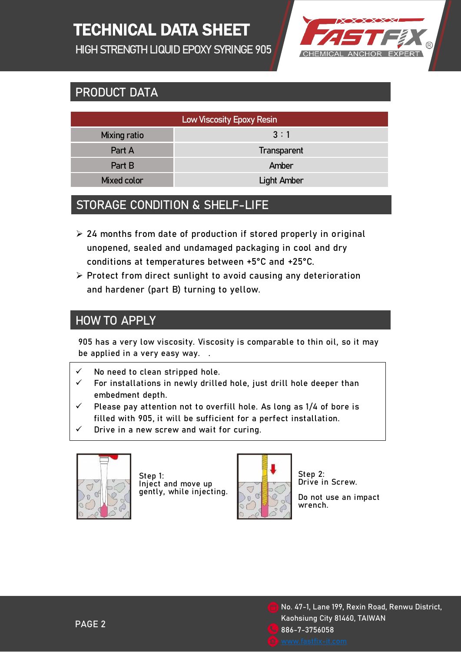# TECHNICAL DATA SHEET

HIGH STRENGTH LIQUID EPOXY SYRINGE 905



# PRODUCT DATA

| <b>Low Viscosity Epoxy Resin</b> |                    |  |  |
|----------------------------------|--------------------|--|--|
| Mixing ratio                     | 3:1                |  |  |
| Part A                           | Transparent        |  |  |
| Part B                           | Amber              |  |  |
| Mixed color                      | <b>Light Amber</b> |  |  |

# STORAGE CONDITION & SHELF-LIFE

- $\geq$  24 months from date of production if stored properly in original unopened, sealed and undamaged packaging in cool and dry conditions at temperatures between +5°C and +25°C.
- $\triangleright$  Protect from direct sunlight to avoid causing any deterioration and hardener (part B) turning to yellow.

#### HOW TO APPLY

905 has a very low viscosity. Viscosity is comparable to thin oil, so it may be applied in a very easy way. .

- No need to clean stripped hole.
- For installations in newly drilled hole, just drill hole deeper than embedment depth.
- $\checkmark$  Please pay attention not to overfill hole. As long as 1/4 of bore is filled with 905, it will be sufficient for a perfect installation.
- Drive in a new screw and wait for curing.



Step 1: Inject and move up gently, while injecting.



Step 2: Drive in Screw.

Do not use an impact wrench.